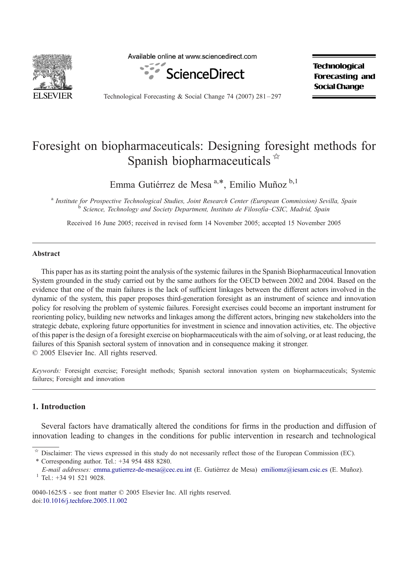

Available online at www.sciencedirect.com



**Technological Forecasting and Social Change** 

Technological Forecasting & Social Change 74 (2007) 281 – 297

## Foresight on biopharmaceuticals: Designing foresight methods for Spanish biopharmaceuticals  $\overline{B}$

Emma Gutiérrez de Mesa<sup>a,\*</sup>, Emilio Muñoz <sup>b,1</sup>

a Institute for Prospective Technological Studies, Joint Research Center (European Commission) Sevilla, Spain<br>b Science, Technology and Society Department, Instituto de Filosofía–CSIC, Madrid, Spain

Received 16 June 2005; received in revised form 14 November 2005; accepted 15 November 2005

### Abstract

This paper has as its starting point the analysis of the systemic failures in the Spanish Biopharmaceutical Innovation System grounded in the study carried out by the same authors for the OECD between 2002 and 2004. Based on the evidence that one of the main failures is the lack of sufficient linkages between the different actors involved in the dynamic of the system, this paper proposes third-generation foresight as an instrument of science and innovation policy for resolving the problem of systemic failures. Foresight exercises could become an important instrument for reorienting policy, building new networks and linkages among the different actors, bringing new stakeholders into the strategic debate, exploring future opportunities for investment in science and innovation activities, etc. The objective of this paper is the design of a foresight exercise on biopharmaceuticals with the aim of solving, or at least reducing, the failures of this Spanish sectoral system of innovation and in consequence making it stronger.  $\odot$  2005 Elsevier Inc. All rights reserved.

Keywords: Foresight exercise; Foresight methods; Spanish sectoral innovation system on biopharmaceuticals; Systemic failures; Foresight and innovation

## 1. Introduction

Several factors have dramatically altered the conditions for firms in the production and diffusion of innovation leading to changes in the conditions for public intervention in research and technological

 $\overrightarrow{B}$  Disclaimer: The views expressed in this study do not necessarily reflect those of the European Commission (EC).

\* Corresponding author. Tel.: +34 954 488 8280.

E-mail addresses: [emma.gutierrez-de-mesa@cec.eu.int](mailto:emma.gutierrez-de-mesa@cec.eu.int) (E. Gutiérrez de Mesa) [emiliomz@iesam.csic.es](mailto:emiliomz@iesam.csic.es) (E. Muñoz). <sup>1</sup> Tel.: +34 91 521 9028.

0040-1625/\$ - see front matter © 2005 Elsevier Inc. All rights reserved. [doi:10.1016/j.techfore.2005.11.002](http://dx.doi.org/10.1016/j.techfore.2005.11.002)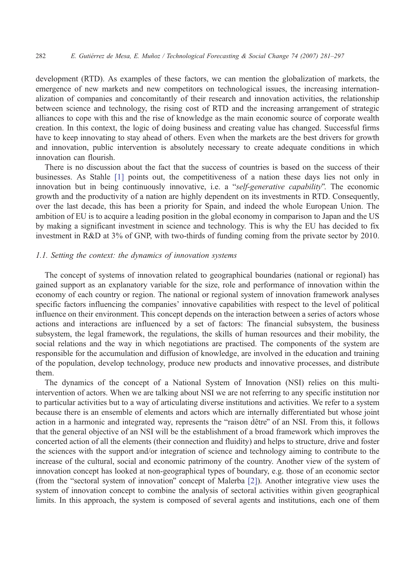development (RTD). As examples of these factors, we can mention the globalization of markets, the emergence of new markets and new competitors on technological issues, the increasing internationalization of companies and concomitantly of their research and innovation activities, the relationship between science and technology, the rising cost of RTD and the increasing arrangement of strategic alliances to cope with this and the rise of knowledge as the main economic source of corporate wealth creation. In this context, the logic of doing business and creating value has changed. Successful firms have to keep innovating to stay ahead of others. Even when the markets are the best drivers for growth and innovation, public intervention is absolutely necessary to create adequate conditions in which innovation can flourish.

There is no discussion about the fact that the success of countries is based on the success of their businesses. As Stahle [\[1\]](#page--1-0) points out, the competitiveness of a nation these days lies not only in innovation but in being continuously innovative, i.e. a "self-generative capability". The economic growth and the productivity of a nation are highly dependent on its investments in RTD. Consequently, over the last decade, this has been a priority for Spain, and indeed the whole European Union. The ambition of EU is to acquire a leading position in the global economy in comparison to Japan and the US by making a significant investment in science and technology. This is why the EU has decided to fix investment in R&D at 3% of GNP, with two-thirds of funding coming from the private sector by 2010.

### 1.1. Setting the context: the dynamics of innovation systems

The concept of systems of innovation related to geographical boundaries (national or regional) has gained support as an explanatory variable for the size, role and performance of innovation within the economy of each country or region. The national or regional system of innovation framework analyses specific factors influencing the companies' innovative capabilities with respect to the level of political influence on their environment. This concept depends on the interaction between a series of actors whose actions and interactions are influenced by a set of factors: The financial subsystem, the business subsystem, the legal framework, the regulations, the skills of human resources and their mobility, the social relations and the way in which negotiations are practised. The components of the system are responsible for the accumulation and diffusion of knowledge, are involved in the education and training of the population, develop technology, produce new products and innovative processes, and distribute them.

The dynamics of the concept of a National System of Innovation (NSI) relies on this multiintervention of actors. When we are talking about NSI we are not referring to any specific institution nor to particular activities but to a way of articulating diverse institutions and activities. We refer to a system because there is an ensemble of elements and actors which are internally differentiated but whose joint action in a harmonic and integrated way, represents the "raison dêtre" of an NSI. From this, it follows that the general objective of an NSI will be the establishment of a broad framework which improves the concerted action of all the elements (their connection and fluidity) and helps to structure, drive and foster the sciences with the support and/or integration of science and technology aiming to contribute to the increase of the cultural, social and economic patrimony of the country. Another view of the system of innovation concept has looked at non-geographical types of boundary, e.g. those of an economic sector (from the "sectoral system of innovation" concept of Malerba  $[2]$ ). Another integrative view uses the system of innovation concept to combine the analysis of sectoral activities within given geographical limits. In this approach, the system is composed of several agents and institutions, each one of them